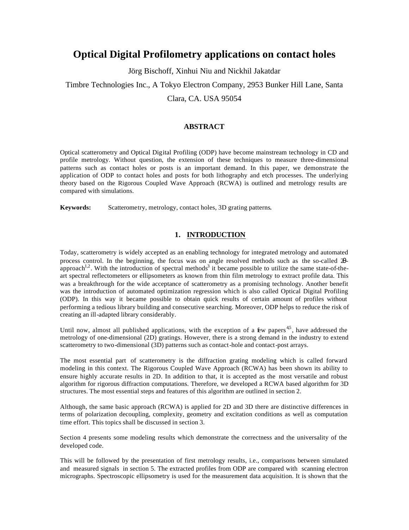# **Optical Digital Profilometry applications on contact holes**

Jörg Bischoff, Xinhui Niu and Nickhil Jakatdar

# Timbre Technologies Inc., A Tokyo Electron Company, 2953 Bunker Hill Lane, Santa

## Clara, CA. USA 95054

## **ABSTRACT**

Optical scatterometry and Optical Digital Profiling (ODP) have become mainstream technology in CD and profile metrology. Without question, the extension of these techniques to measure three-dimensional patterns such as contact holes or posts is an important demand. In this paper, we demonstrate the application of ODP to contact holes and posts for both lithography and etch processes. The underlying theory based on the Rigorous Coupled Wave Approach (RCWA) is outlined and metrology results are compared with simulations.

**Keywords:** Scatterometry, metrology, contact holes, 3D grating patterns.

## **1. INTRODUCTION**

Today, scatterometry is widely accepted as an enabling technology for integrated metrology and automated process control. In the beginning, the focus was on angle resolved methods such as the so-called 2θapproach<sup>1,2</sup>. With the introduction of spectral methods<sup>3</sup> it became possible to utilize the same state-of-theart spectral reflectometers or ellipsometers as known from thin film metrology to extract profile data. This was a breakthrough for the wide acceptance of scatterometry as a promising technology. Another benefit was the introduction of automated optimization regression which is also called Optical Digital Profiling (ODP). In this way it became possible to obtain quick results of certain amount of profiles without performing a tedious library building and consecutive searching. Moreover, ODP helps to reduce the risk of creating an ill-adapted library considerably.

Until now, almost all published applications, with the exception of a  $\mathbf{\hat{E}}$ w papers<sup>45</sup>, have addressed the metrology of one-dimensional (2D) gratings. However, there is a strong demand in the industry to extend scatterometry to two-dimensional (3D) patterns such as contact-hole and contact-post arrays.

The most essential part of scatterometry is the diffraction grating modeling which is called forward modeling in this context. The Rigorous Coupled Wave Approach (RCWA) has been shown its ability to ensure highly accurate results in 2D. In addition to that, it is accepted as the most versatile and robust algorithm for rigorous diffraction computations. Therefore, we developed a RCWA based algorithm for 3D structures. The most essential steps and features of this algorithm are outlined in section 2.

Although, the same basic approach (RCWA) is applied for 2D and 3D there are distinctive differences in terms of polarization decoupling, complexity, geometry and excitation conditions as well as computation time effort. This topics shall be discussed in section 3.

Section 4 presents some modeling results which demonstrate the correctness and the universality of the developed code.

This will be followed by the presentation of first metrology results, i.e., comparisons between simulated and measured signals in section 5. The extracted profiles from ODP are compared with scanning electron micrographs. Spectroscopic ellipsometry is used for the measurement data acquisition. It is shown that the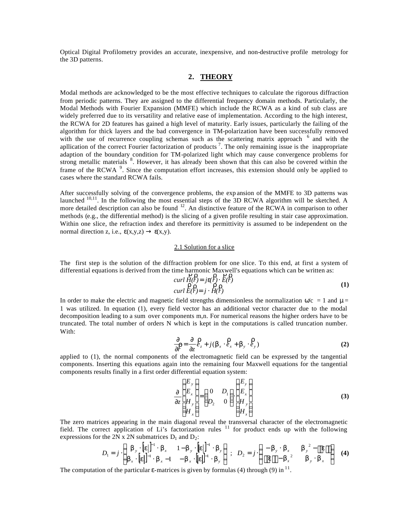Optical Digital Profilometry provides an accurate, inexpensive, and non-destructive profile metrology for the 3D patterns.

## **2. THEORY**

Modal methods are acknowledged to be the most effective techniques to calculate the rigorous diffraction from periodic patterns. They are assigned to the differential frequency domain methods. Particularly, the Modal Methods with Fourier Expansion (MMFE) which include the RCWA as a kind of sub class are widely preferred due to its versatility and relative ease of implementation. According to the high interest, the RCWA for 2D features has gained a high level of maturity. Early issues, particularly the failing of the algorithm for thick layers and the bad convergence in TM-polarization have been successfully removed with the use of recurrence coupling schemas such as the scattering matrix approach <sup>6</sup> and with the apllication of the correct Fourier factorization of products<sup>7</sup>. The only remaining issue is the inappropriate adaption of the boundary condition for TM-polarized light which may cause convergence problems for strong metallic materials <sup>8</sup>. However, it has already been shown that this can also be covered within the frame of the RCWA<sup>9</sup>. Since the computation effort increases, this extension should only be applied to cases where the standard RCWA fails.

After successfully solving of the convergence problems, the exp ansion of the MMFE to 3D patterns was launched  $10,11$ . In the following the most essential steps of the 3D RCWA algorithm will be sketched. A more detailed description can also be found  $12$ . An distinctive feature of the RCWA in comparison to other methods (e.g., the differential method) is the slicing of a given profile resulting in stair case approximation. Within one slice, the refraction index and therefore its permittivity is assumed to be independent on the normal direction z, i.e.,  $\varepsilon(x,y,z) \rightarrow \varepsilon(x,y)$ .

#### 2.1 Solution for a slice

The first step is the solution of the diffraction problem for one slice. To this end, at first a system of differential equations is derived from the time harmonic Maxwell's equations which can be written as:<br> $P, P, P, P, P, P, P$ 

$$
curl \tilde{H}(P) = j\mathbf{e}(P) \cdot \tilde{E}(P)
$$
  
\n
$$
curl \tilde{E}(P) = j \cdot \tilde{H}(P)
$$
 (1)

In order to make the electric and magnetic field strengths dimensionless the normalization  $\omega/c = 1$  and  $\mu =$ 1 was utilized. In equation (1), every field vector has an additional vector character due to the modal decomposition leading to a sum over components m,n. For numerical reasons the higher orders have to be truncated. The total number of orders N which is kept in the computations is called truncation number. With:

$$
\frac{\partial}{\partial \vec{r}} = \frac{\partial}{\partial z} \hat{e}_z + j(\boldsymbol{b}_x \cdot \hat{e}_x + \boldsymbol{b}_y \cdot \hat{e}_y)
$$
(2)

applied to (1), the normal components of the electromagnetic field can be expressed by the tangential components. Inserting this equations again into the remaining four Maxwell equations for the tangential components results finally in a first order differential equation system:

$$
\frac{\partial}{\partial z} \begin{pmatrix} E_y \\ E_x \\ H_y \\ H_z \end{pmatrix} = \begin{pmatrix} 0 & D_1 \\ D_2 & 0 \end{pmatrix} \begin{pmatrix} E_y \\ E_x \\ H_y \\ H_z \end{pmatrix}
$$
\n(3)

The zero matrices appearing in the main diagonal reveal the transversal character of the electromagnetic field. The correct application of Li's factorization rules<sup>11</sup> for product ends up with the following expressions for the 2N x 2N submatrices  $D_1$  and  $D_2$ :

$$
D_1 = j \cdot \begin{pmatrix} \boldsymbol{b}_y \cdot [\boldsymbol{e}]]^{-1} \cdot \boldsymbol{b}_x & 1 - \boldsymbol{b}_y \cdot [\boldsymbol{e}]]^{-1} \cdot \boldsymbol{b}_y \\ \boldsymbol{b}_x \cdot [\boldsymbol{e}]]^{-1} \cdot \boldsymbol{b}_x - 1 & - \boldsymbol{b}_x \cdot [\boldsymbol{e}]]^{-1} \cdot \boldsymbol{b}_y \end{pmatrix} ; \quad D_2 = j \cdot \begin{pmatrix} - \boldsymbol{b}_y \cdot \boldsymbol{b}_x & \boldsymbol{b}_y^2 - [\boldsymbol{e}]] \\ [\boldsymbol{e}]] - \boldsymbol{b}_x^2 & \boldsymbol{b}_y \cdot \boldsymbol{b}_x \end{pmatrix}
$$
(4)

The computation of the particular  $\varepsilon$ -matrices is given by formulas (4) through (9) in  $^{11}$ .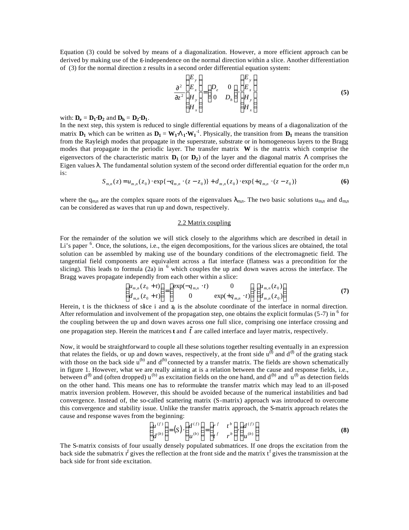Equation (3) could be solved by means of a diagonalization. However, a more efficient approach can be derived by making use of the ε-independence on the normal direction within a slice. Another differentiation of (3) for the normal direction z results in a second order differential equation system:

$$
\frac{\partial^2}{\partial z^2} \begin{pmatrix} E_y \\ E_x \\ H_y \\ H_x \end{pmatrix} = \begin{pmatrix} D_e & 0 \\ 0 & D_h \end{pmatrix} \cdot \begin{pmatrix} E_y \\ E_x \\ H_y \\ H_y \end{pmatrix}
$$
\n(5)

with:  $D_e = D_1 \cdot D_2$  and  $D_h = D_2 \cdot D_1$ .

In the next step, this system is reduced to single differential equations by means of a diagonalization of the matrix  $D_1$  which can be written as  $D_1 = W_1 \cdot L_1 \cdot W_1^{-1}$ . Physically, the transition from  $D_1$  means the transition from the Rayleigh modes that propagate in the superstrate, substrate or in homogeneous layers to the Bragg modes that propagate in the periodic layer. The transfer matrix **W** is the matrix which comprise the eigenvectors of the characteristic matrix  $D_1$  (or  $D_2$ ) of the layer and the diagonal matrix  $\Lambda$  comprises the Eigen values  $λ$ . The fundamental solution system of the second order differential equation for the order m,n is:

$$
S_{m,n}(z) = u_{m,n}(z_0) \cdot \exp\{-q_{m,n} \cdot (z - z_0)\} + d_{m,n}(z_0) \cdot \exp\{+q_{m,n} \cdot (z - z_0)\}\tag{6}
$$

where the q<sub>m,n</sub> are the complex square roots of the eigenvalues  $\lambda_{mn}$ . The two basic solutions u<sub>m,n</sub> and d<sub>m,n</sub> can be considered as waves that run up and down, respectively.

#### 2.2 Matrix coupling

For the remainder of the solution we will stick closely to the algorithms which are described in detail in Li's paper <sup>6</sup>. Once, the solutions, i.e., the eigen decompositions, for the various slices are obtained, the total solution can be assembled by making use of the boundary conditions of the electromagnetic field. The tangential field components are equivalent across a flat interface (flatness was a precondition for the slicing). This leads to formula  $(2a)$  in  $<sup>6</sup>$  which couples the up and down waves across the interface. The</sup> Bragg waves propagate independly from each other within a slice:

$$
\begin{pmatrix} u_{m,n}(z_0+t) \\ d_{m,n}(z_0+t) \end{pmatrix} = \begin{pmatrix} \exp(-q_{m,n} \cdot t) & 0 \\ 0 & \exp(+q_{m,n} \cdot t) \end{pmatrix} \cdot \begin{pmatrix} u_{m,n}(z_0) \\ d_{m,n}(z_0) \end{pmatrix}
$$
 (7)

Herein, t is the thickness of slice i and  $z<sub>0</sub>$  is the absolute coordinate of the interface in normal direction. After reformulation and involvement of the propagation step, one obtains the explicit formulas (5-7) in  $6$  for the coupling between the up and down waves across one full slice, comprising one interface crossing and one propagation step. Herein the matrices **t** and  $\bar{t}$  are called interface and layer matrix, respectively.

Now, it would be straightforward to couple all these solutions together resulting eventually in an expression that relates the fields, or up and down waves, respectively, at the front side  $u^{(f)}$  and  $d^{(f)}$  of the grating stack with those on the back side  $u^{(b)}$  and  $d^{(b)}$  connected by a transfer matrix. The fields are shown schematically in figure 1. However, what we are really aiming at is a relation between the cause and response fields, i.e., between d<sup>(f)</sup> and (often dropped) u<sup>(b)</sup> as excitation fields on the one hand, and d<sup>(b)</sup> and u<sup>(f)</sup> as detection fields on the other hand. This means one has to reformulate the transfer matrix which may lead to an ill-posed matrix inversion problem. However, this should be avoided because of the numerical instabilities and bad convergence. Instead of, the so-called scattering matrix (S-matrix) approach was introduced to overcome this convergence and stability issue. Unlike the transfer matrix approach, the S-matrix approach relates the cause and response waves from the beginning:

$$
\begin{pmatrix} u^{(f)} \\ d^{(b)} \end{pmatrix} = (S) \cdot \begin{pmatrix} d^{(f)} \\ u^{(b)} \end{pmatrix} = \begin{pmatrix} r^f & t^b \\ t^f & r^b \end{pmatrix} \cdot \begin{pmatrix} d^{(f)} \\ u^{(b)} \end{pmatrix}
$$
 (8)

The S-matrix consists of four usually densely populated submatrices. If one drops the excitation from the back side the submatrix  $r^f$  gives the reflection at the front side and the matrix  $t^f$  gives the transmission at the back side for front side excitation.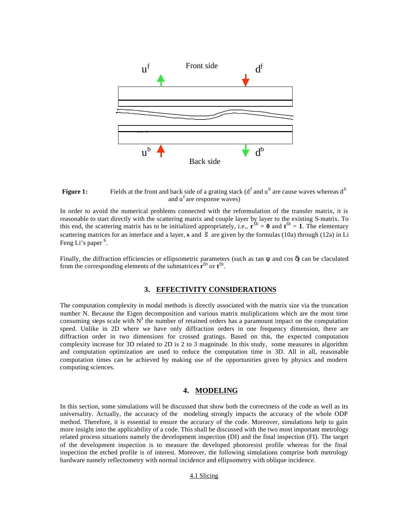

## **Figure 1:** Fields at the front and back side of a grating stack ( $d<sup>f</sup>$  and  $u<sup>b</sup>$  are cause waves whereas  $d<sup>b</sup>$ and u<sup>f</sup> are response waves)

In order to avoid the numerical problems connected with the reformulation of the transfer matrix, it is reasonable to start directly with the scattering matrix and couple layer by layer to the existing S-matrix. To this end, the scattering matrix has to be initialized appropriately, i.e.,  $\mathbf{r}^{\text{fb}} = \mathbf{0}$  and  $\mathbf{t}^{\text{fb}} = \mathbf{1}$ . The elementary scattering matrices for an interface and a layer, s and  $\bar{s}$  are given by the formulas (10a) through (12a) in Li Feng Li's paper <sup>6</sup>.

Finally, the diffraction efficiencies or ellipsometric parameters (such as tan  $\psi$  and cos  $\delta$ ) can be claculated from the corresponding elements of the submatrices  $\mathbf{r}^{\text{fb}}$  or  $\mathbf{t}^{\text{fb}}$ .

#### **3. EFFECTIVITY CONSIDERATIONS**

The computation complexity in modal methods is directly associated with the matrix size via the truncation number N. Because the Eigen decomposition and various matrix muliplications which are the most time consuming steps scale with  $N<sup>3</sup>$  the number of retained orders has a paramount impact on the computation speed. Unlike in 2D where we have only diffraction orders in one frequency dimension, there are diffraction order in two dimensions for crossed gratings. Based on this, the expected computation complexity increase for 3D related to 2D is 2 to 3 magnitude. In this study, some measures in algorithm and computation optimization are used to reduce the computation time in 3D. All in all, reasonable computation times can be achieved by making use of the opportunities given by physics and modern computing sciences.

#### **4. MODELING**

In this section, some simulations will be discussed that show both the correctness of the code as well as its universality. Actually, the accuracy of the modeling strongly impacts the accuracy of the whole ODP method. Therefore, it is essential to ensure the accuracy of the code. Moreover, simulations help to gain more insight into the applicability of a code. This shall be discussed with the two most important metrology related process situations namely the development inspection (DI) and the final inspection (FI). The target of the development inspection is to measure the developed photoresist profile whereas for the final inspection the etched profile is of interest. Moreover, the following simulations comprise both metrology hardware namely reflectometry with normal incidence and ellipsometry with oblique incidence.

#### 4.1 Slicing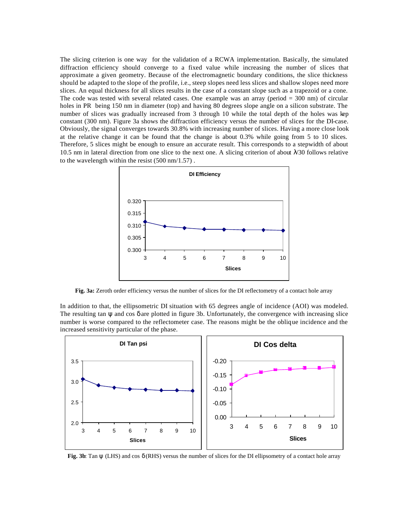The slicing criterion is one way for the validation of a RCWA implementation. Basically, the simulated diffraction efficiency should converge to a fixed value while increasing the number of slices that approximate a given geometry. Because of the electromagnetic boundary conditions, the slice thickness should be adapted to the slope of the profile, i.e., steep slopes need less slices and shallow slopes need more slices. An equal thickness for all slices results in the case of a constant slope such as a trapezoid or a cone. The code was tested with several related cases. One example was an array (period = 300 nm) of circular holes in PR being 150 nm in diameter (top) and having 80 degrees slope angle on a silicon substrate. The number of slices was gradually increased from 3 through 10 while the total depth of the holes was kep constant (300 nm). Figure 3a shows the diffraction efficiency versus the number of slices for the DI-case. Obviously, the signal converges towards 30.8% with increasing number of slices. Having a more close look at the relative change it can be found that the change is about 0.3% while going from 5 to 10 slices. Therefore, 5 slices might be enough to ensure an accurate result. This corresponds to a stepwidth of about 10.5 nm in lateral direction from one slice to the next one. A slicing criterion of about  $\lambda$  30 follows relative to the wavelength within the resist (500 nm/1.57) .



**Fig. 3a:** Zeroth order efficiency versus the number of slices for the DI reflectometry of a contact hole array

In addition to that, the ellipsometric DI situation with 65 degrees angle of incidence (AOI) was modeled. The resulting tan  $\psi$  and cos  $\delta$  are plotted in figure 3b. Unfortunately, the convergence with increasing slice number is worse compared to the reflectometer case. The reasons might be the oblique incidence and the increased sensitivity particular of the phase.



**Fig. 3b**: Tan ψ (LHS) and cos δ (RHS) versus the number of slices for the DI ellipsometry of a contact hole array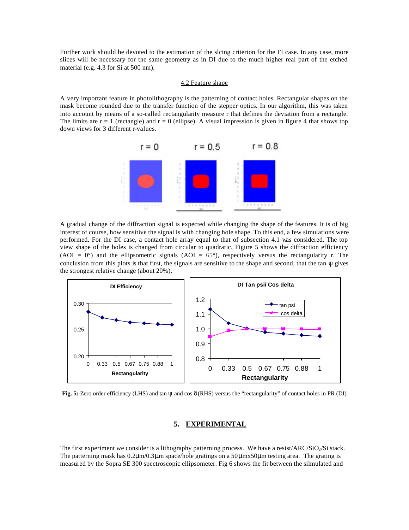Further work should be devoted to the estimation of the slcing criterion for the FI case. In any case, more slices will be necessary for the same geometry as in DI due to the much higher real part of the etched material (e.g. 4.3 for Si at 500 nm).

#### 4.2 Feature shape

A very important feature in photolithography is the patterning of contact holes. Rectangular shapes on the mask become rounded due to the transfer function of the stepper optics. In our algorithm, this was taken into account by means of a so-called rectangularity measure r that defines the deviation from a rectangle. The limits are  $r = 1$  (rectangle) and  $r = 0$  (ellipse). A visual impression is given in figure 4 that shows top down views for 3 different r-values.



A gradual change of the diffraction signal is expected while changing the shape of the features. It is of big interest of course, how sensitive the signal is with changing hole shape. To this end, a few simulations were performed. For the DI case, a contact hole array equal to that of subsection 4.1 was considered. The top view shape of the holes is changed from circular to quadratic. Figure 5 shows the diffraction efficiency (AOI =  $0^{\circ}$ ) and the ellipsometric signals (AOI =  $65^{\circ}$ ), respectively versus the rectangularity r. The conclusion from this plots is that first, the signals are sensitive to the shape and second, that the tan  $\psi$  gives the strongest relative change (about 20%).



**Fig. 5:** Zero order efficiency (LHS) and tan ψ and cos δ (RHS) versus the "rectangularity" of contact holes in PR (DI)

## **5. EXPERIMENTAL**

The first experiment we consider is a lithography patterning process. We have a resist/ARC/SiO2/Si stack. The patterning mask has 0.2μm/0.3μm space/hole gratings on a 50μmx50μm testing area. The grating is measured by the Sopra SE 300 spectroscopic ellipsometer. Fig 6 shows the fit between the silmulated and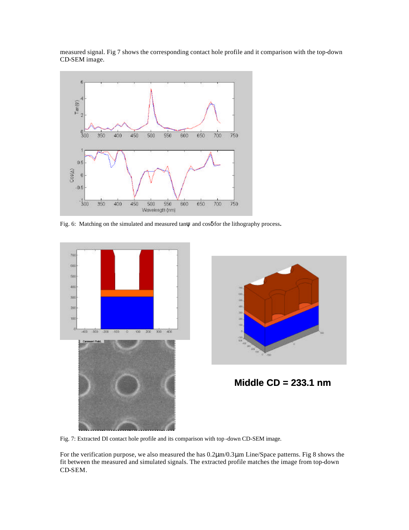measured signal. Fig 7 shows the corresponding contact hole profile and it comparison with the top-down CD-SEM image.



Fig. 6: Matching on the simulated and measured tanψ and cosδ for the lithography process**.**





**Middle CD = 233.1 nm**

Fig. 7: Extracted DI contact hole profile and its comparison with top -down CD-SEM image.

For the verification purpose, we also measured the has 0.2μm/0.3μm Line/Space patterns. Fig 8 shows the fit between the measured and simulated signals. The extracted profile matches the image from top-down CD-SEM.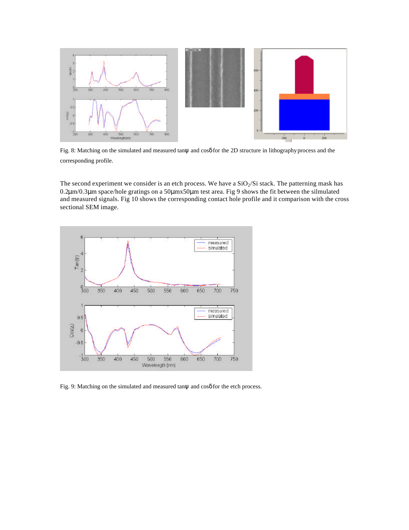

Fig. 8: Matching on the simulated and measured tanψ and cosδ for the 2D structure in lithography process and the corresponding profile.

The second experiment we consider is an etch process. We have a  $SiO<sub>2</sub>/Si$  stack. The patterning mask has 0.2μm/0.3μm space/hole gratings on a 50μmx50μm test area. Fig 9 shows the fit between the silmulated and measured signals. Fig 10 shows the corresponding contact hole profile and it comparison with the cross sectional SEM image.



Fig. 9: Matching on the simulated and measured tanψ and cosδ for the etch process.